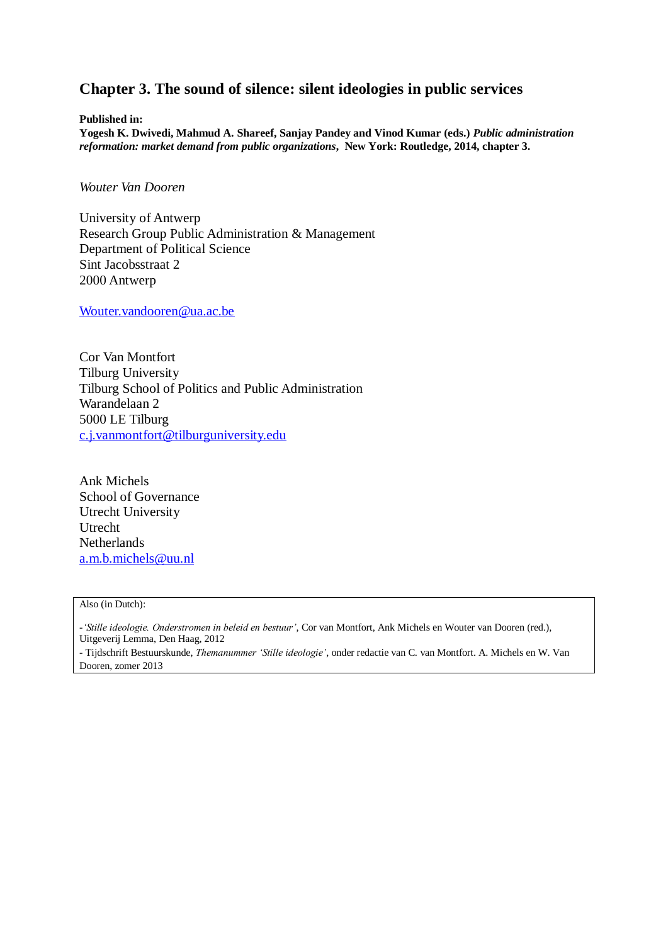# **Chapter 3. The sound of silence: silent ideologies in public services**

**Published in:**

**Yogesh K. Dwivedi, Mahmud A. Shareef, Sanjay Pandey and Vinod Kumar (eds.)** *Public administration reformation: market demand from public organizations***, New York: Routledge, 2014, chapter 3.**

*Wouter Van Dooren* 

University of Antwerp Research Group Public Administration & Management Department of Political Science Sint Jacobsstraat 2 2000 Antwerp

[Wouter.vandooren@ua.ac.be](mailto:Wouter.vandooren@ua.ac.be)

Cor Van Montfort Tilburg University Tilburg School of Politics and Public Administration Warandelaan 2 5000 LE Tilburg [c.j.vanmontfort@tilburguniversity.edu](mailto:c.j.vanmontfort@tilburguniversity.edu)

Ank Michels School of Governance Utrecht University Utrecht Netherlands [a.m.b.michels@uu.nl](mailto:a.m.b.michels@uu.nl)

#### Also (in Dutch):

*-'Stille ideologie. Onderstromen in beleid en bestuur'*, Cor van Montfort, Ank Michels en Wouter van Dooren (red.), Uitgeverij Lemma, Den Haag, 2012

- Tijdschrift Bestuurskunde, *Themanummer 'Stille ideologie'*, onder redactie van C. van Montfort. A. Michels en W. Van Dooren, zomer 2013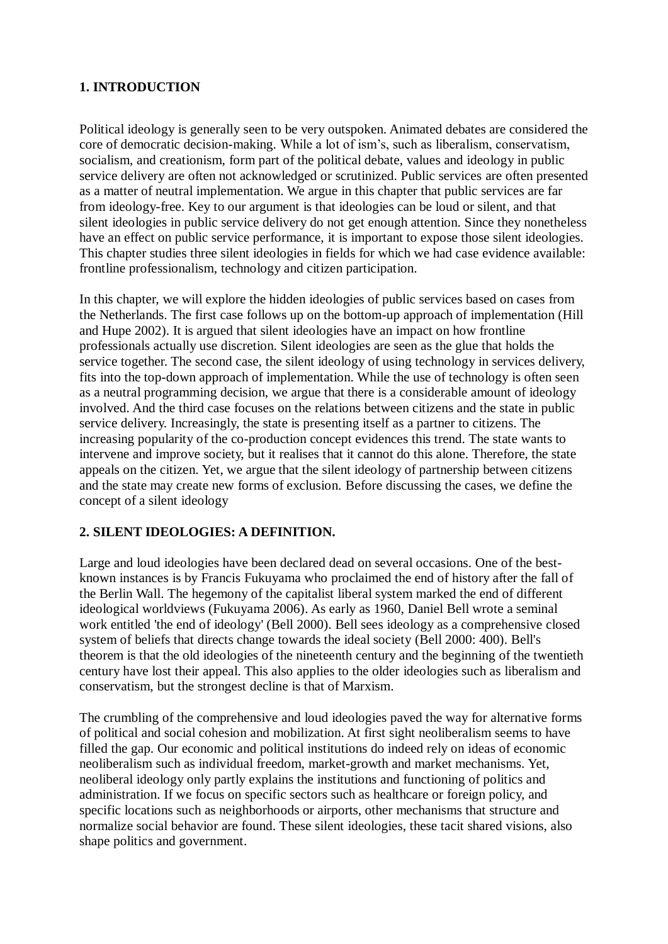## **1. INTRODUCTION**

Political ideology is generally seen to be very outspoken. Animated debates are considered the core of democratic decision-making. While a lot of ism's, such as liberalism, conservatism, socialism, and creationism, form part of the political debate, values and ideology in public service delivery are often not acknowledged or scrutinized. Public services are often presented as a matter of neutral implementation. We argue in this chapter that public services are far from ideology-free. Key to our argument is that ideologies can be loud or silent, and that silent ideologies in public service delivery do not get enough attention. Since they nonetheless have an effect on public service performance, it is important to expose those silent ideologies. This chapter studies three silent ideologies in fields for which we had case evidence available: frontline professionalism, technology and citizen participation.

In this chapter, we will explore the hidden ideologies of public services based on cases from the Netherlands. The first case follows up on the bottom-up approach of implementation (Hill and Hupe 2002). It is argued that silent ideologies have an impact on how frontline professionals actually use discretion. Silent ideologies are seen as the glue that holds the service together. The second case, the silent ideology of using technology in services delivery, fits into the top-down approach of implementation. While the use of technology is often seen as a neutral programming decision, we argue that there is a considerable amount of ideology involved. And the third case focuses on the relations between citizens and the state in public service delivery. Increasingly, the state is presenting itself as a partner to citizens. The increasing popularity of the co-production concept evidences this trend. The state wants to intervene and improve society, but it realises that it cannot do this alone. Therefore, the state appeals on the citizen. Yet, we argue that the silent ideology of partnership between citizens and the state may create new forms of exclusion. Before discussing the cases, we define the concept of a silent ideology

## **2. SILENT IDEOLOGIES: A DEFINITION.**

Large and loud ideologies have been declared dead on several occasions. One of the bestknown instances is by Francis Fukuyama who proclaimed the end of history after the fall of the Berlin Wall. The hegemony of the capitalist liberal system marked the end of different ideological worldviews (Fukuyama 2006). As early as 1960, Daniel Bell wrote a seminal work entitled 'the end of ideology' (Bell 2000). Bell sees ideology as a comprehensive closed system of beliefs that directs change towards the ideal society (Bell 2000: 400). Bell's theorem is that the old ideologies of the nineteenth century and the beginning of the twentieth century have lost their appeal. This also applies to the older ideologies such as liberalism and conservatism, but the strongest decline is that of Marxism.

The crumbling of the comprehensive and loud ideologies paved the way for alternative forms of political and social cohesion and mobilization. At first sight neoliberalism seems to have filled the gap. Our economic and political institutions do indeed rely on ideas of economic neoliberalism such as individual freedom, market-growth and market mechanisms. Yet, neoliberal ideology only partly explains the institutions and functioning of politics and administration. If we focus on specific sectors such as healthcare or foreign policy, and specific locations such as neighborhoods or airports, other mechanisms that structure and normalize social behavior are found. These silent ideologies, these tacit shared visions, also shape politics and government.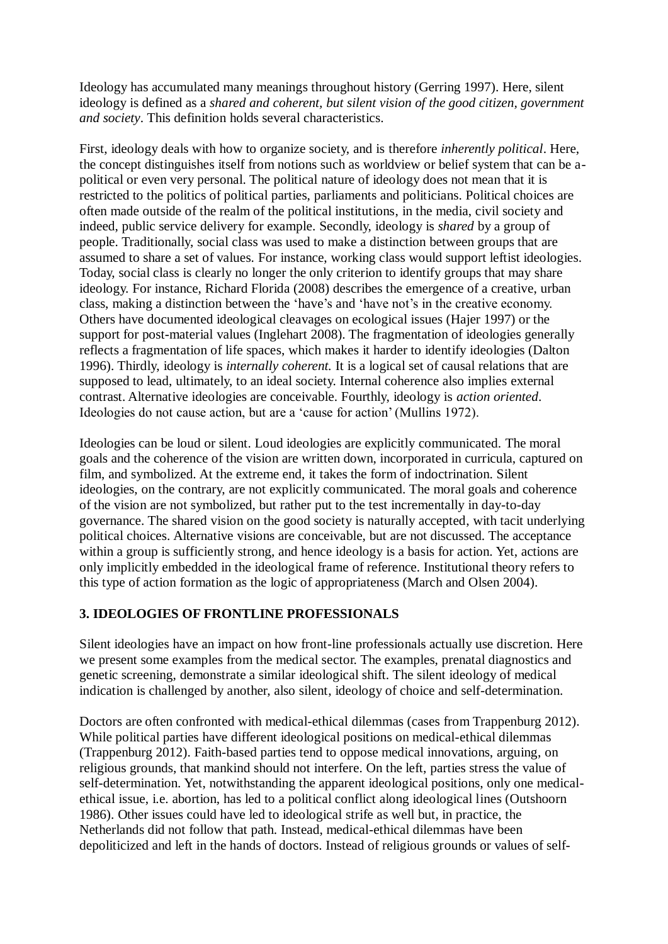Ideology has accumulated many meanings throughout history (Gerring 1997). Here, silent ideology is defined as a *shared and coherent, but silent vision of the good citizen, government and society*. This definition holds several characteristics.

First, ideology deals with how to organize society, and is therefore *inherently political*. Here, the concept distinguishes itself from notions such as worldview or belief system that can be apolitical or even very personal. The political nature of ideology does not mean that it is restricted to the politics of political parties, parliaments and politicians. Political choices are often made outside of the realm of the political institutions, in the media, civil society and indeed, public service delivery for example. Secondly, ideology is *shared* by a group of people. Traditionally, social class was used to make a distinction between groups that are assumed to share a set of values. For instance, working class would support leftist ideologies. Today, social class is clearly no longer the only criterion to identify groups that may share ideology. For instance, Richard Florida (2008) describes the emergence of a creative, urban class, making a distinction between the 'have's and 'have not's in the creative economy. Others have documented ideological cleavages on ecological issues (Hajer 1997) or the support for post-material values (Inglehart 2008). The fragmentation of ideologies generally reflects a fragmentation of life spaces, which makes it harder to identify ideologies (Dalton 1996). Thirdly, ideology is *internally coherent.* It is a logical set of causal relations that are supposed to lead, ultimately, to an ideal society. Internal coherence also implies external contrast. Alternative ideologies are conceivable. Fourthly, ideology is *action oriented*. Ideologies do not cause action, but are a 'cause for action' (Mullins 1972).

Ideologies can be loud or silent. Loud ideologies are explicitly communicated. The moral goals and the coherence of the vision are written down, incorporated in curricula, captured on film, and symbolized. At the extreme end, it takes the form of indoctrination. Silent ideologies, on the contrary, are not explicitly communicated. The moral goals and coherence of the vision are not symbolized, but rather put to the test incrementally in day-to-day governance. The shared vision on the good society is naturally accepted, with tacit underlying political choices. Alternative visions are conceivable, but are not discussed. The acceptance within a group is sufficiently strong, and hence ideology is a basis for action. Yet, actions are only implicitly embedded in the ideological frame of reference. Institutional theory refers to this type of action formation as the logic of appropriateness (March and Olsen 2004).

# **3. IDEOLOGIES OF FRONTLINE PROFESSIONALS**

Silent ideologies have an impact on how front-line professionals actually use discretion. Here we present some examples from the medical sector. The examples, prenatal diagnostics and genetic screening, demonstrate a similar ideological shift. The silent ideology of medical indication is challenged by another, also silent, ideology of choice and self-determination.

Doctors are often confronted with medical-ethical dilemmas (cases from Trappenburg 2012). While political parties have different ideological positions on medical-ethical dilemmas (Trappenburg 2012). Faith-based parties tend to oppose medical innovations, arguing, on religious grounds, that mankind should not interfere. On the left, parties stress the value of self-determination. Yet, notwithstanding the apparent ideological positions, only one medicalethical issue, i.e. abortion, has led to a political conflict along ideological lines (Outshoorn 1986). Other issues could have led to ideological strife as well but, in practice, the Netherlands did not follow that path. Instead, medical-ethical dilemmas have been depoliticized and left in the hands of doctors. Instead of religious grounds or values of self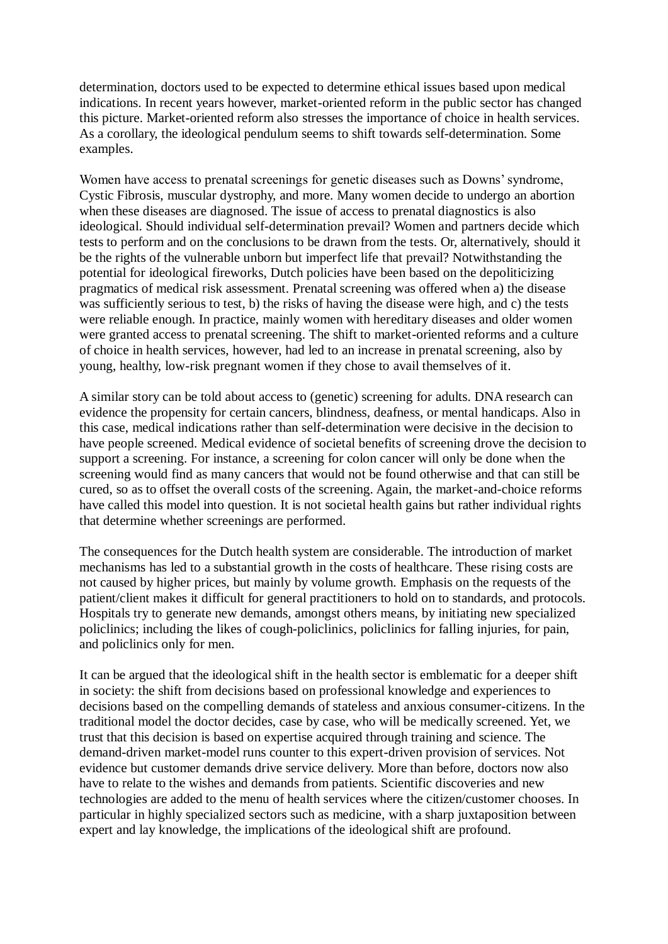determination, doctors used to be expected to determine ethical issues based upon medical indications. In recent years however, market-oriented reform in the public sector has changed this picture. Market-oriented reform also stresses the importance of choice in health services. As a corollary, the ideological pendulum seems to shift towards self-determination. Some examples.

Women have access to prenatal screenings for genetic diseases such as Downs' syndrome, Cystic Fibrosis, muscular dystrophy, and more. Many women decide to undergo an abortion when these diseases are diagnosed. The issue of access to prenatal diagnostics is also ideological. Should individual self-determination prevail? Women and partners decide which tests to perform and on the conclusions to be drawn from the tests. Or, alternatively, should it be the rights of the vulnerable unborn but imperfect life that prevail? Notwithstanding the potential for ideological fireworks, Dutch policies have been based on the depoliticizing pragmatics of medical risk assessment. Prenatal screening was offered when a) the disease was sufficiently serious to test, b) the risks of having the disease were high, and c) the tests were reliable enough. In practice, mainly women with hereditary diseases and older women were granted access to prenatal screening. The shift to market-oriented reforms and a culture of choice in health services, however, had led to an increase in prenatal screening, also by young, healthy, low-risk pregnant women if they chose to avail themselves of it.

A similar story can be told about access to (genetic) screening for adults. DNA research can evidence the propensity for certain cancers, blindness, deafness, or mental handicaps. Also in this case, medical indications rather than self-determination were decisive in the decision to have people screened. Medical evidence of societal benefits of screening drove the decision to support a screening. For instance, a screening for colon cancer will only be done when the screening would find as many cancers that would not be found otherwise and that can still be cured, so as to offset the overall costs of the screening. Again, the market-and-choice reforms have called this model into question. It is not societal health gains but rather individual rights that determine whether screenings are performed.

The consequences for the Dutch health system are considerable. The introduction of market mechanisms has led to a substantial growth in the costs of healthcare. These rising costs are not caused by higher prices, but mainly by volume growth. Emphasis on the requests of the patient/client makes it difficult for general practitioners to hold on to standards, and protocols. Hospitals try to generate new demands, amongst others means, by initiating new specialized policlinics; including the likes of cough-policlinics, policlinics for falling injuries, for pain, and policlinics only for men.

It can be argued that the ideological shift in the health sector is emblematic for a deeper shift in society: the shift from decisions based on professional knowledge and experiences to decisions based on the compelling demands of stateless and anxious consumer-citizens. In the traditional model the doctor decides, case by case, who will be medically screened. Yet, we trust that this decision is based on expertise acquired through training and science. The demand-driven market-model runs counter to this expert-driven provision of services. Not evidence but customer demands drive service delivery. More than before, doctors now also have to relate to the wishes and demands from patients. Scientific discoveries and new technologies are added to the menu of health services where the citizen/customer chooses. In particular in highly specialized sectors such as medicine, with a sharp juxtaposition between expert and lay knowledge, the implications of the ideological shift are profound.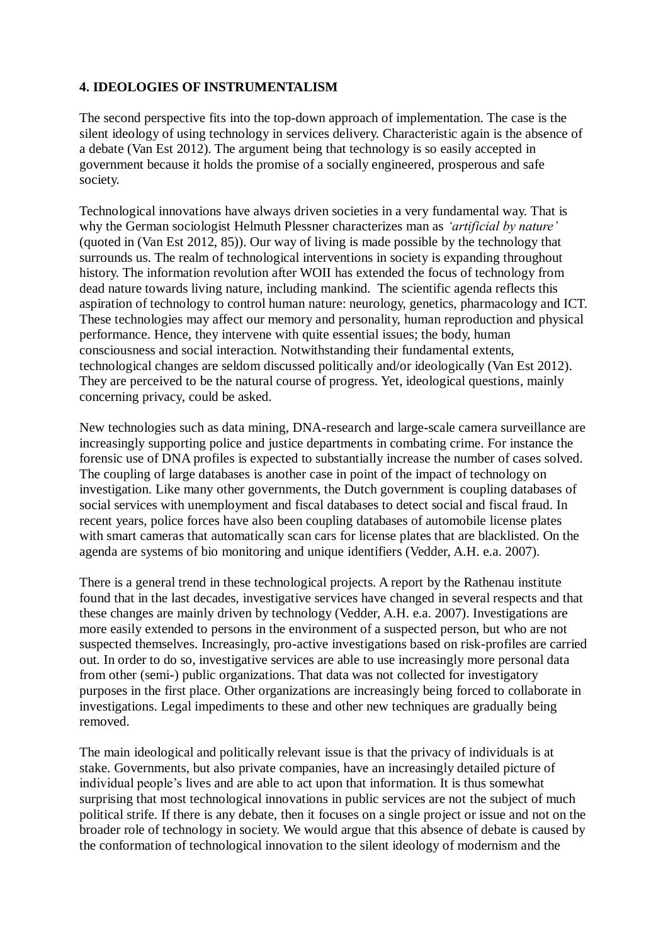## **4. IDEOLOGIES OF INSTRUMENTALISM**

The second perspective fits into the top-down approach of implementation. The case is the silent ideology of using technology in services delivery. Characteristic again is the absence of a debate (Van Est 2012). The argument being that technology is so easily accepted in government because it holds the promise of a socially engineered, prosperous and safe society.

Technological innovations have always driven societies in a very fundamental way. That is why the German sociologist Helmuth Plessner characterizes man as *'artificial by nature'* (quoted in (Van Est 2012, 85)). Our way of living is made possible by the technology that surrounds us. The realm of technological interventions in society is expanding throughout history. The information revolution after WOII has extended the focus of technology from dead nature towards living nature, including mankind. The scientific agenda reflects this aspiration of technology to control human nature: neurology, genetics, pharmacology and ICT. These technologies may affect our memory and personality, human reproduction and physical performance. Hence, they intervene with quite essential issues; the body, human consciousness and social interaction. Notwithstanding their fundamental extents, technological changes are seldom discussed politically and/or ideologically (Van Est 2012). They are perceived to be the natural course of progress. Yet, ideological questions, mainly concerning privacy, could be asked.

New technologies such as data mining, DNA-research and large-scale camera surveillance are increasingly supporting police and justice departments in combating crime. For instance the forensic use of DNA profiles is expected to substantially increase the number of cases solved. The coupling of large databases is another case in point of the impact of technology on investigation. Like many other governments, the Dutch government is coupling databases of social services with unemployment and fiscal databases to detect social and fiscal fraud. In recent years, police forces have also been coupling databases of automobile license plates with smart cameras that automatically scan cars for license plates that are blacklisted. On the agenda are systems of bio monitoring and unique identifiers (Vedder, A.H. e.a. 2007).

There is a general trend in these technological projects. A report by the Rathenau institute found that in the last decades, investigative services have changed in several respects and that these changes are mainly driven by technology (Vedder, A.H. e.a. 2007). Investigations are more easily extended to persons in the environment of a suspected person, but who are not suspected themselves. Increasingly, pro-active investigations based on risk-profiles are carried out. In order to do so, investigative services are able to use increasingly more personal data from other (semi-) public organizations. That data was not collected for investigatory purposes in the first place. Other organizations are increasingly being forced to collaborate in investigations. Legal impediments to these and other new techniques are gradually being removed.

The main ideological and politically relevant issue is that the privacy of individuals is at stake. Governments, but also private companies, have an increasingly detailed picture of individual people's lives and are able to act upon that information. It is thus somewhat surprising that most technological innovations in public services are not the subject of much political strife. If there is any debate, then it focuses on a single project or issue and not on the broader role of technology in society. We would argue that this absence of debate is caused by the conformation of technological innovation to the silent ideology of modernism and the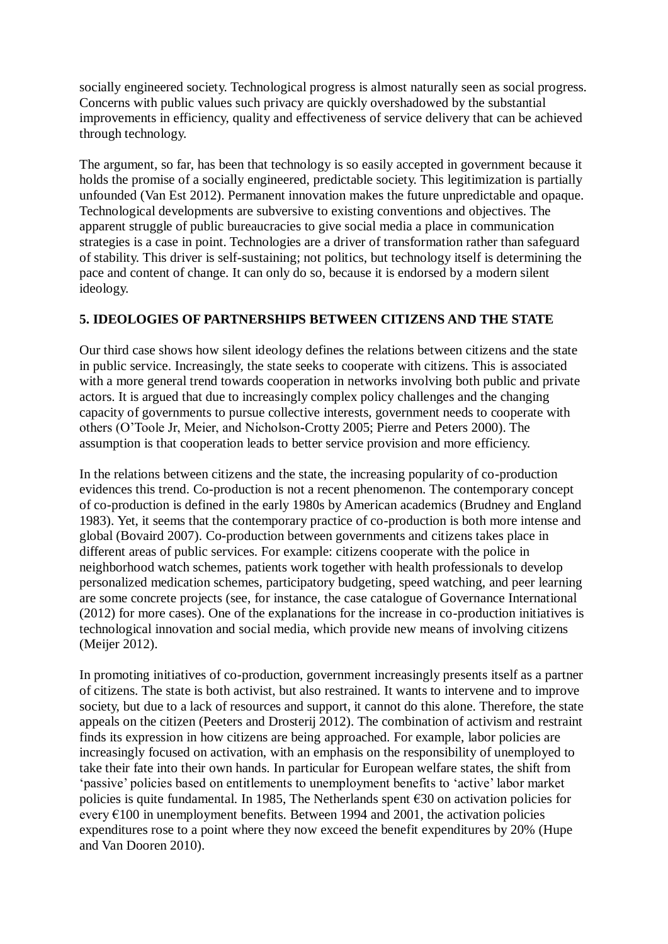socially engineered society. Technological progress is almost naturally seen as social progress. Concerns with public values such privacy are quickly overshadowed by the substantial improvements in efficiency, quality and effectiveness of service delivery that can be achieved through technology.

The argument, so far, has been that technology is so easily accepted in government because it holds the promise of a socially engineered, predictable society. This legitimization is partially unfounded (Van Est 2012). Permanent innovation makes the future unpredictable and opaque. Technological developments are subversive to existing conventions and objectives. The apparent struggle of public bureaucracies to give social media a place in communication strategies is a case in point. Technologies are a driver of transformation rather than safeguard of stability. This driver is self-sustaining; not politics, but technology itself is determining the pace and content of change. It can only do so, because it is endorsed by a modern silent ideology.

## **5. IDEOLOGIES OF PARTNERSHIPS BETWEEN CITIZENS AND THE STATE**

Our third case shows how silent ideology defines the relations between citizens and the state in public service. Increasingly, the state seeks to cooperate with citizens. This is associated with a more general trend towards cooperation in networks involving both public and private actors. It is argued that due to increasingly complex policy challenges and the changing capacity of governments to pursue collective interests, government needs to cooperate with others (O'Toole Jr, Meier, and Nicholson-Crotty 2005; Pierre and Peters 2000). The assumption is that cooperation leads to better service provision and more efficiency.

In the relations between citizens and the state, the increasing popularity of co-production evidences this trend. Co-production is not a recent phenomenon. The contemporary concept of co-production is defined in the early 1980s by American academics (Brudney and England 1983). Yet, it seems that the contemporary practice of co-production is both more intense and global (Bovaird 2007). Co-production between governments and citizens takes place in different areas of public services. For example: citizens cooperate with the police in neighborhood watch schemes, patients work together with health professionals to develop personalized medication schemes, participatory budgeting, speed watching, and peer learning are some concrete projects (see, for instance, the case catalogue of Governance International (2012) for more cases). One of the explanations for the increase in co-production initiatives is technological innovation and social media, which provide new means of involving citizens (Meijer 2012).

In promoting initiatives of co-production, government increasingly presents itself as a partner of citizens. The state is both activist, but also restrained. It wants to intervene and to improve society, but due to a lack of resources and support, it cannot do this alone. Therefore, the state appeals on the citizen (Peeters and Drosterij 2012). The combination of activism and restraint finds its expression in how citizens are being approached. For example, labor policies are increasingly focused on activation, with an emphasis on the responsibility of unemployed to take their fate into their own hands. In particular for European welfare states, the shift from 'passive' policies based on entitlements to unemployment benefits to 'active' labor market policies is quite fundamental. In 1985, The Netherlands spent  $\epsilon$ 30 on activation policies for every  $E100$  in unemployment benefits. Between 1994 and 2001, the activation policies expenditures rose to a point where they now exceed the benefit expenditures by 20% (Hupe and Van Dooren 2010).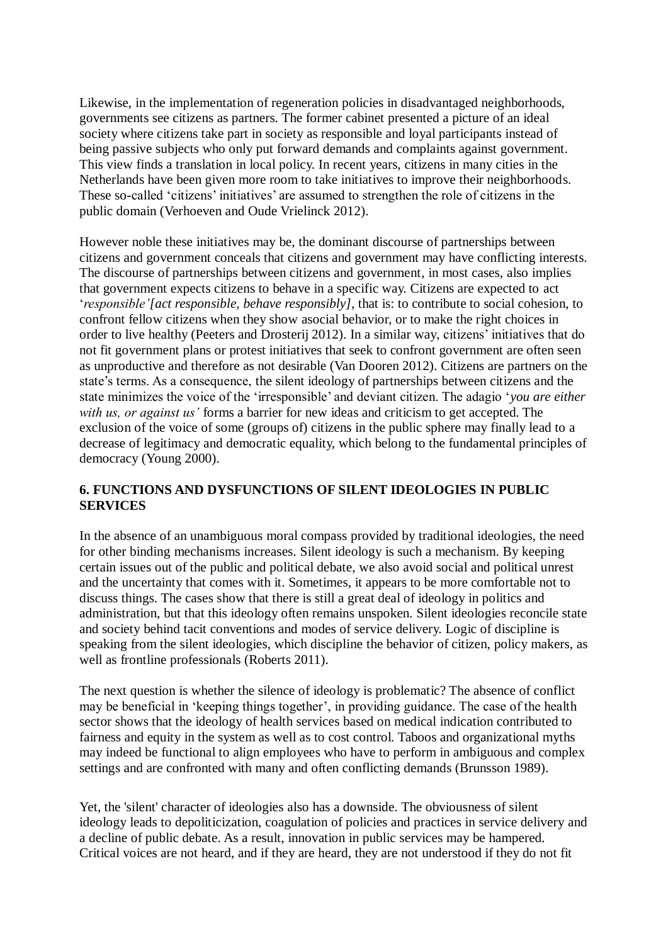Likewise, in the implementation of regeneration policies in disadvantaged neighborhoods, governments see citizens as partners. The former cabinet presented a picture of an ideal society where citizens take part in society as responsible and loyal participants instead of being passive subjects who only put forward demands and complaints against government. This view finds a translation in local policy. In recent years, citizens in many cities in the Netherlands have been given more room to take initiatives to improve their neighborhoods. These so-called 'citizens' initiatives' are assumed to strengthen the role of citizens in the public domain (Verhoeven and Oude Vrielinck 2012).

However noble these initiatives may be, the dominant discourse of partnerships between citizens and government conceals that citizens and government may have conflicting interests. The discourse of partnerships between citizens and government, in most cases, also implies that government expects citizens to behave in a specific way. Citizens are expected to act '*responsible'[act responsible, behave responsibly]*, that is: to contribute to social cohesion, to confront fellow citizens when they show asocial behavior, or to make the right choices in order to live healthy (Peeters and Drosterij 2012). In a similar way, citizens' initiatives that do not fit government plans or protest initiatives that seek to confront government are often seen as unproductive and therefore as not desirable (Van Dooren 2012). Citizens are partners on the state's terms. As a consequence, the silent ideology of partnerships between citizens and the state minimizes the voice of the 'irresponsible' and deviant citizen. The adagio '*you are either with us, or against us'* forms a barrier for new ideas and criticism to get accepted. The exclusion of the voice of some (groups of) citizens in the public sphere may finally lead to a decrease of legitimacy and democratic equality, which belong to the fundamental principles of democracy (Young 2000).

## **6. FUNCTIONS AND DYSFUNCTIONS OF SILENT IDEOLOGIES IN PUBLIC SERVICES**

In the absence of an unambiguous moral compass provided by traditional ideologies, the need for other binding mechanisms increases. Silent ideology is such a mechanism. By keeping certain issues out of the public and political debate, we also avoid social and political unrest and the uncertainty that comes with it. Sometimes, it appears to be more comfortable not to discuss things. The cases show that there is still a great deal of ideology in politics and administration, but that this ideology often remains unspoken. Silent ideologies reconcile state and society behind tacit conventions and modes of service delivery. Logic of discipline is speaking from the silent ideologies, which discipline the behavior of citizen, policy makers, as well as frontline professionals (Roberts 2011).

The next question is whether the silence of ideology is problematic? The absence of conflict may be beneficial in 'keeping things together', in providing guidance. The case of the health sector shows that the ideology of health services based on medical indication contributed to fairness and equity in the system as well as to cost control. Taboos and organizational myths may indeed be functional to align employees who have to perform in ambiguous and complex settings and are confronted with many and often conflicting demands (Brunsson 1989).

Yet, the 'silent' character of ideologies also has a downside. The obviousness of silent ideology leads to depoliticization, coagulation of policies and practices in service delivery and a decline of public debate. As a result, innovation in public services may be hampered. Critical voices are not heard, and if they are heard, they are not understood if they do not fit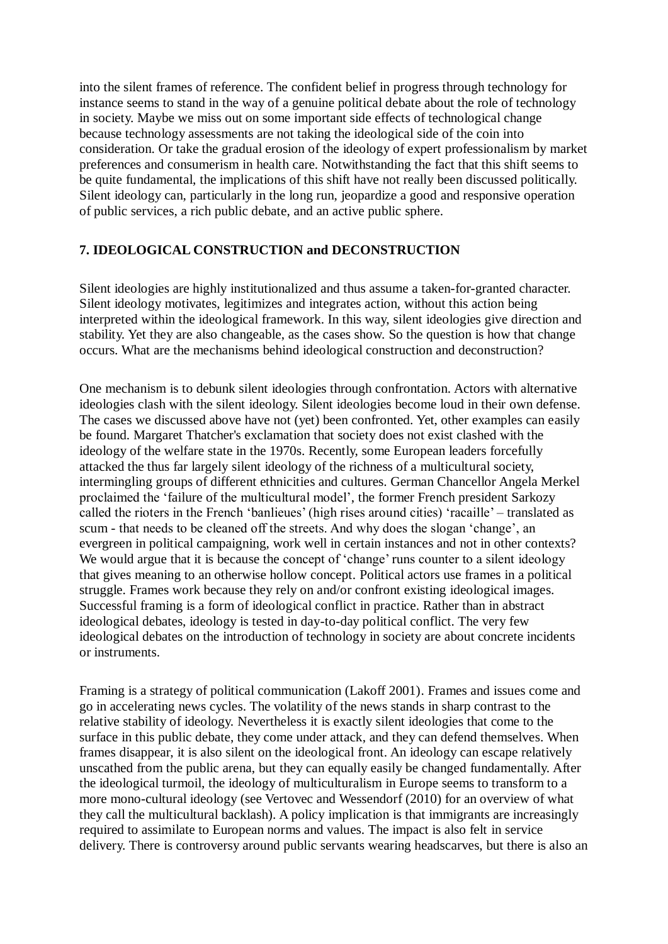into the silent frames of reference. The confident belief in progress through technology for instance seems to stand in the way of a genuine political debate about the role of technology in society. Maybe we miss out on some important side effects of technological change because technology assessments are not taking the ideological side of the coin into consideration. Or take the gradual erosion of the ideology of expert professionalism by market preferences and consumerism in health care. Notwithstanding the fact that this shift seems to be quite fundamental, the implications of this shift have not really been discussed politically. Silent ideology can, particularly in the long run, jeopardize a good and responsive operation of public services, a rich public debate, and an active public sphere.

#### **7. IDEOLOGICAL CONSTRUCTION and DECONSTRUCTION**

Silent ideologies are highly institutionalized and thus assume a taken-for-granted character. Silent ideology motivates, legitimizes and integrates action, without this action being interpreted within the ideological framework. In this way, silent ideologies give direction and stability. Yet they are also changeable, as the cases show. So the question is how that change occurs. What are the mechanisms behind ideological construction and deconstruction?

One mechanism is to debunk silent ideologies through confrontation. Actors with alternative ideologies clash with the silent ideology. Silent ideologies become loud in their own defense. The cases we discussed above have not (yet) been confronted. Yet, other examples can easily be found. Margaret Thatcher's exclamation that society does not exist clashed with the ideology of the welfare state in the 1970s. Recently, some European leaders forcefully attacked the thus far largely silent ideology of the richness of a multicultural society, intermingling groups of different ethnicities and cultures. German Chancellor Angela Merkel proclaimed the 'failure of the multicultural model', the former French president Sarkozy called the rioters in the French 'banlieues' (high rises around cities) 'racaille' – translated as scum - that needs to be cleaned off the streets. And why does the slogan 'change', an evergreen in political campaigning, work well in certain instances and not in other contexts? We would argue that it is because the concept of 'change' runs counter to a silent ideology that gives meaning to an otherwise hollow concept. Political actors use frames in a political struggle. Frames work because they rely on and/or confront existing ideological images. Successful framing is a form of ideological conflict in practice. Rather than in abstract ideological debates, ideology is tested in day-to-day political conflict. The very few ideological debates on the introduction of technology in society are about concrete incidents or instruments.

Framing is a strategy of political communication (Lakoff 2001). Frames and issues come and go in accelerating news cycles. The volatility of the news stands in sharp contrast to the relative stability of ideology. Nevertheless it is exactly silent ideologies that come to the surface in this public debate, they come under attack, and they can defend themselves. When frames disappear, it is also silent on the ideological front. An ideology can escape relatively unscathed from the public arena, but they can equally easily be changed fundamentally. After the ideological turmoil, the ideology of multiculturalism in Europe seems to transform to a more mono-cultural ideology (see Vertovec and Wessendorf (2010) for an overview of what they call the multicultural backlash). A policy implication is that immigrants are increasingly required to assimilate to European norms and values. The impact is also felt in service delivery. There is controversy around public servants wearing headscarves, but there is also an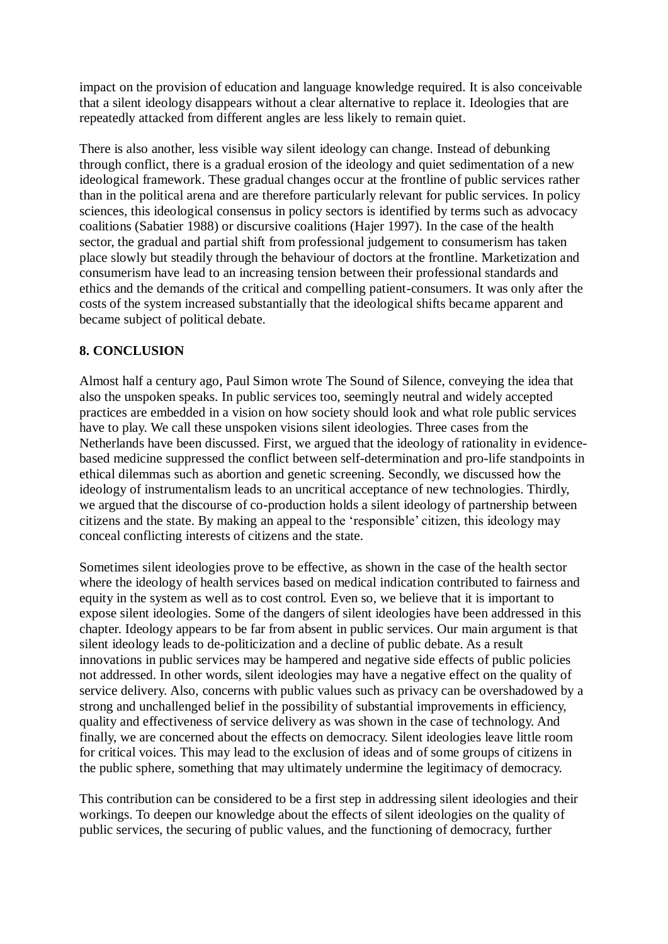impact on the provision of education and language knowledge required. It is also conceivable that a silent ideology disappears without a clear alternative to replace it. Ideologies that are repeatedly attacked from different angles are less likely to remain quiet.

There is also another, less visible way silent ideology can change. Instead of debunking through conflict, there is a gradual erosion of the ideology and quiet sedimentation of a new ideological framework. These gradual changes occur at the frontline of public services rather than in the political arena and are therefore particularly relevant for public services. In policy sciences, this ideological consensus in policy sectors is identified by terms such as advocacy coalitions (Sabatier 1988) or discursive coalitions (Hajer 1997). In the case of the health sector, the gradual and partial shift from professional judgement to consumerism has taken place slowly but steadily through the behaviour of doctors at the frontline. Marketization and consumerism have lead to an increasing tension between their professional standards and ethics and the demands of the critical and compelling patient-consumers. It was only after the costs of the system increased substantially that the ideological shifts became apparent and became subject of political debate.

## **8. CONCLUSION**

Almost half a century ago, Paul Simon wrote The Sound of Silence, conveying the idea that also the unspoken speaks. In public services too, seemingly neutral and widely accepted practices are embedded in a vision on how society should look and what role public services have to play. We call these unspoken visions silent ideologies. Three cases from the Netherlands have been discussed. First, we argued that the ideology of rationality in evidencebased medicine suppressed the conflict between self-determination and pro-life standpoints in ethical dilemmas such as abortion and genetic screening. Secondly, we discussed how the ideology of instrumentalism leads to an uncritical acceptance of new technologies. Thirdly, we argued that the discourse of co-production holds a silent ideology of partnership between citizens and the state. By making an appeal to the 'responsible' citizen, this ideology may conceal conflicting interests of citizens and the state.

Sometimes silent ideologies prove to be effective, as shown in the case of the health sector where the ideology of health services based on medical indication contributed to fairness and equity in the system as well as to cost control. Even so, we believe that it is important to expose silent ideologies. Some of the dangers of silent ideologies have been addressed in this chapter. Ideology appears to be far from absent in public services. Our main argument is that silent ideology leads to de-politicization and a decline of public debate. As a result innovations in public services may be hampered and negative side effects of public policies not addressed. In other words, silent ideologies may have a negative effect on the quality of service delivery. Also, concerns with public values such as privacy can be overshadowed by a strong and unchallenged belief in the possibility of substantial improvements in efficiency, quality and effectiveness of service delivery as was shown in the case of technology. And finally, we are concerned about the effects on democracy. Silent ideologies leave little room for critical voices. This may lead to the exclusion of ideas and of some groups of citizens in the public sphere, something that may ultimately undermine the legitimacy of democracy.

This contribution can be considered to be a first step in addressing silent ideologies and their workings. To deepen our knowledge about the effects of silent ideologies on the quality of public services, the securing of public values, and the functioning of democracy, further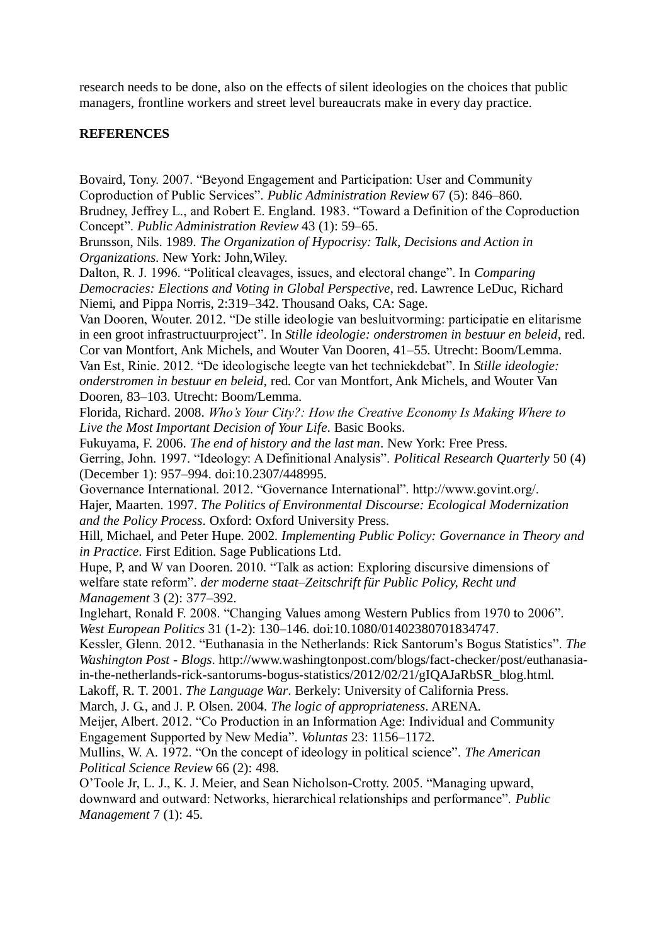research needs to be done, also on the effects of silent ideologies on the choices that public managers, frontline workers and street level bureaucrats make in every day practice.

#### **REFERENCES**

Bovaird, Tony. 2007. "Beyond Engagement and Participation: User and Community Coproduction of Public Services". *Public Administration Review* 67 (5): 846–860. Brudney, Jeffrey L., and Robert E. England. 1983. "Toward a Definition of the Coproduction Concept". *Public Administration Review* 43 (1): 59–65. Brunsson, Nils. 1989. *The Organization of Hypocrisy: Talk, Decisions and Action in Organizations*. New York: John,Wiley. Dalton, R. J. 1996. "Political cleavages, issues, and electoral change". In *Comparing Democracies: Elections and Voting in Global Perspective*, red. Lawrence LeDuc, Richard Niemi, and Pippa Norris, 2:319–342. Thousand Oaks, CA: Sage. Van Dooren, Wouter. 2012. "De stille ideologie van besluitvorming: participatie en elitarisme in een groot infrastructuurproject". In *Stille ideologie: onderstromen in bestuur en beleid*, red. Cor van Montfort, Ank Michels, and Wouter Van Dooren, 41–55. Utrecht: Boom/Lemma. Van Est, Rinie. 2012. "De ideologische leegte van het techniekdebat". In *Stille ideologie: onderstromen in bestuur en beleid*, red. Cor van Montfort, Ank Michels, and Wouter Van Dooren, 83–103. Utrecht: Boom/Lemma. Florida, Richard. 2008. *Who's Your City?: How the Creative Economy Is Making Where to Live the Most Important Decision of Your Life*. Basic Books. Fukuyama, F. 2006. *The end of history and the last man*. New York: Free Press. Gerring, John. 1997. "Ideology: A Definitional Analysis". *Political Research Quarterly* 50 (4) (December 1): 957–994. doi:10.2307/448995. Governance International. 2012. "Governance International". http://www.govint.org/. Hajer, Maarten. 1997. *The Politics of Environmental Discourse: Ecological Modernization and the Policy Process*. Oxford: Oxford University Press. Hill, Michael, and Peter Hupe. 2002. *Implementing Public Policy: Governance in Theory and in Practice*. First Edition. Sage Publications Ltd. Hupe, P, and W van Dooren. 2010. "Talk as action: Exploring discursive dimensions of welfare state reform". *der moderne staat–Zeitschrift für Public Policy, Recht und Management* 3 (2): 377–392. Inglehart, Ronald F. 2008. "Changing Values among Western Publics from 1970 to 2006". *West European Politics* 31 (1-2): 130–146. doi:10.1080/01402380701834747. Kessler, Glenn. 2012. "Euthanasia in the Netherlands: Rick Santorum's Bogus Statistics". *The Washington Post - Blogs*. http://www.washingtonpost.com/blogs/fact-checker/post/euthanasiain-the-netherlands-rick-santorums-bogus-statistics/2012/02/21/gIQAJaRbSR\_blog.html. Lakoff, R. T. 2001. *The Language War*. Berkely: University of California Press. March, J. G., and J. P. Olsen. 2004. *The logic of appropriateness*. ARENA. Meijer, Albert. 2012. "Co Production in an Information Age: Individual and Community Engagement Supported by New Media". *Voluntas* 23: 1156–1172.

Mullins, W. A. 1972. "On the concept of ideology in political science". *The American Political Science Review* 66 (2): 498.

O'Toole Jr, L. J., K. J. Meier, and Sean Nicholson-Crotty. 2005. "Managing upward, downward and outward: Networks, hierarchical relationships and performance". *Public Management* 7 (1): 45.